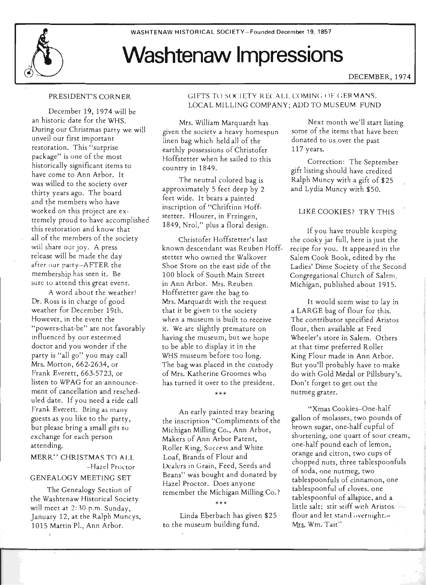# **Washtenaw Impressions**

DECEMBER, 1974

# PRESIDENT'S CORN ER

December 19, 1974 will be an historic date for the WHS. During our Christmas party we will unveil our first important restoration. This "surprise package" is one of the most historically significant items to have come to Ann Arbor. It was willed to the society over thirty years ago. The board and the members who have worked on this project are extremely proud to have accomplished this restoration and know that all of the members of the society will share our joy. A press release will be made the day after our party-AFTER the membership has seen it. Be sure to attend this great event.

A word about the weather! Dr. Ross is in charge of good weather for December 19th. However, in the event the "powers-that-be" are not favorably influenced by our esteemed doctor and you wonder if the party is "all go" you may call Mrs. Morton, 662-2634, or Frank Everett, 663-5723, or listen to WPAG for an announcement of cancellation and rescheduled date. If you need a ride call Frank Everett. Bring as many guests as you like to the party, but please bring a small gift to exchange for each person attending.

## MERRY CHRISTMAS TO ALL -Hazel Proctor

# GENEALOGY MEETING SET

The Genealogy Section of the Washtenaw Historical Society will meet at 2:30 p.m. Sunday, January 12, at the Ralph Muncys, 1015 Martin Pl., Ann Arbor.

# GIFTS TO SOCIETY RECALL COMING OF GERMANS. LOCAL MILLING COMPANY; ADD TO MUSEUM FUND

117 years.

Mrs. William Marquardt has given the societv a heavy homespun linen bag which held all of the earthly possessions of Christofer Hoffstetter when he sailed to this country in 1849.

The neutral colored bag is approximately 5 feet deep by 2 feet wide. It bears a painted inscription of "Chriftinn Hoffstetter. Hlourer, in Frzingen, 1849, Nrol," plus a floral design.

Christofer Hoffstetter's last known descendant was Reuben Hoffstetter who owned the Walkover Shoe Store on the east side of the 100 block of South Main Street in Ann Arbor. Mrs. Reuben Hoffstetter gave the bag to Mrs. Marquardt with the request that it be given to the society when a museum is built to receive it. We are slightly premature on having the museum, but we hope to be able to display it in the WHS museum before too long. The bag was placed in the custody of Mrs. Katherine Groomes who has turned it over to the president.

\*\*\*

An early painted tray bearing the inscription "Compliments of the Michigan Milling Co., Ann Arbor, Makers of Ann Arbor Patent, Roller King, Success and White Loaf, Brands of Flour and Dealers in Grain, Feed, Seeds and Beans" was bought and donated by Hazel Proctor. Does anyone remember the Michigan Milling Co. ?

\*\*\*

Linda Eberbach has given \$25 to the museum building fund.

Next month we'll start listing some of the items that have been donated to us over the past

Correction: The September gift listing should have credited Ralph Muncy with a gift of \$25 and Lydia Muncy with \$50.

# LIKE COOKIES? TRY THIS

If you have trouble keeping the cooky jar full, here is just the recipe for you. It appeared in the Salem Cook Book, edited by the Ladies' Dime Society of the Second Congregational Church of Salem, Michigan, published about 1915.

It would seem wise to lay in a LARGE bag of flour for this. The contributor specified Aristos flour, then available at Fred Wheeler's store in Salem. Others at that time preferred Roller King Flour made in Ann Arbor. But you'll probably have to make do with Gold Medal or Pillsbury's. Don't forget to get out the nu tmeg grater.

"Xmas Cookies--One-half gallon of molasses, two pounds of brown sugar, one-half cupful of shortening, one quart of sour cream, one-half pound each of lemon, orange and citron, two cups of chopped nuts, three tablespoonfuls of soda, one nutmeg, two tablespoonfuls of cinnamon, one tablespoonful of cloves. one tablespoonful of allspice, and a little salt; stir stiff with Aristos. flour and let stand overnight.-Mrs. Wm. Tait"

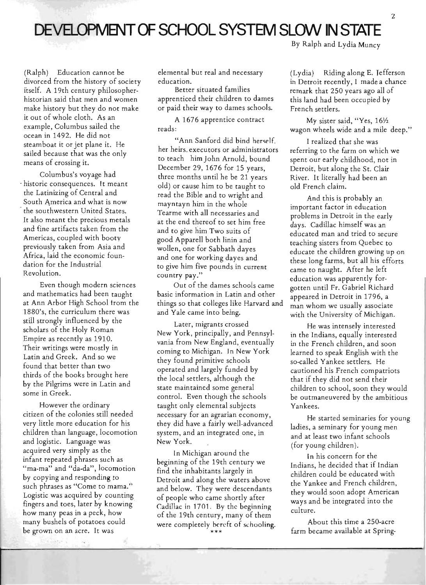# DEVELOPMENT OF SCHOOL SYSTEM SLOW IN STATE

By Ralph and Lydia Muncy

(Ralph) Education cannot be divorced from the history of society itself. A 19th century philosopherhistorian said that men and women make history but they do not make it out of whole cloth. As an example, Columbus sailed the ocean in 1492. He did not steamboat it or jet plane it. He sailed because that was the only means of crossing it.

Columbus's voyage had - historic consequences. It meant the Latinizing of Central and South America and what is now the southwestern United States. It also meant the precious metals and fine artifacts taken from the Americas, coupled with booty previously taken from Asia and Africa, laid the economic foundation for the Industrial Revolution.

Even though modern sciences and mathematics had been taught at Ann Arbor High School trom the 1880's, the curriculum there was still strongly influenced by the scholars of the Holy Roman Empire as recently as 1910. Their writings were mostly in Latin and Greek. And so we found that better than two thirds of the books brought here by the Pilgrims were in Latin and some in Greek.

However the ordinary citizen of the colonies still needed very little more education for his children than language, locomotion and logistic. Language was acquired very simply as the infant repeated phrases such as "ma-ma" and "da-da", locomotion by copying and responding to . such phrases as "Come to mama." Logistic was acquired by counting fingers and toes, later by knowing how many peas in a peck, how many bushels of potatoes could be grown on an acre. It was

elemental but real and necessary education.

Better situated families apprenticed their children to dames or paid their way to dames schools.

A 1676 apprentice contract reads:

"Ann Sanford did bind herself. her heirs. executors or administrators to teach himJohn Arnold, bound December 29, 1676 for 15 years, three months until he be 21 years old) or cause him to be taught to read the Bible and to wright and mayntayn him in the whole Tearme with all necessaries and at the end thereof to set him free and to give him Two suits of good Apparell both linin and wollen, one for Sabbath dayes and one for working dayes and to give him five pounds in current country pay."

Out of the dames schools came basic information in Latin and other things so that colleges like Harvard and and Yale came into being.

Later, migrants crossed New York, principally, and Pennsylvania from New England, eventually coming to Michigan. In New York they found primitive schools operated and largely funded by the local settlers, although the state maintained some general control. Even though the schools taught only elemental subjects necessary for an agrarian economy, they did have a fairly well-advanced system, and an integrated one, in New York.

In Michigan around the beginning of the 19th century we find the inhabitants largely in Detroit and along the waters above and below. They were descendants of people who came shortly after Cadillac in 1701. By the beginning of the 19th century, many of them were completely bereft of schooling. \*\*\*

(Lydia) Riding along E. Tefferson in Detroit recently, I made a chance remark that 250 years ago all of this land had been occupied by French settlers.

My sister said, "Yes, 161/2 wagon wheels wide and a mile deep."

I realized that she was referring to the farm on which we spent our early childhood, not in Detroit, but along the St. Clair River. It literally had been an old French claim.

And this is probably an important factor in education problems in Detroit in the early days. Cadillac himself was an educated man and tried to secure teaching sisters from Quebec to educate the children growing up on these long farms, but all his efforts came to naught. After he left education was apparently forgotten until Fr. Gabriel Richard appeared in Detroit in 1796, a man whom we usually associate with the University of Michigan.

He was intensely interested in the Indians, equally interested in the French children, and soon learned to speak English with the so-called Yankee settlers. He cautioned his French compatriots that if they did not send their children to school, soon they would be outmaneuvered by the ambitious Yankees.

He started seminaries for young ladies, a seminary for young men and at least two infant schools (for young children).

In his concern for the Indians he decided that if Indian children could be educated with the Yankee and French children, they would soon adopt American ways and be integrated into the culture.

About this time a 250-acre farm became available at Spring-

2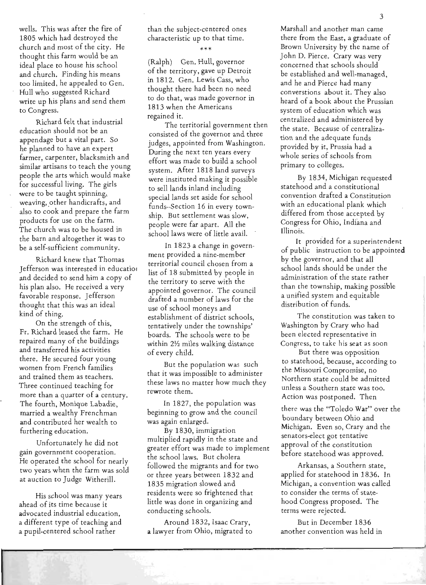wells. This was after the fire of 1805 which had destroyed the church and most of the city. He thought this farm would be an ideal place to house his school and church. Finding his means too limited, he appealed to Gen. Hull who suggested Richard write up his plans and send them to Congress.

Richard felt that industrial education should not be an appendage but a vital part. So he planned to have an expert farmer, carpenter, blacksmith and similar artisans to teach the young people the arts which would make for successful living. The girls were to be taught spinning, weaving, other handicrafts, and also to cook and prepare the farm products for use on the farm. The church was to be housed in the barn and altogether it was to be a self-sufficient community.

Richard knew that Thomas Jefferson was interested in educatiol and decided to send him a copy of his plan also. He received a very favorable response. Jefferson thought that this was an ideal kind of thing.

On the strength of this, Fr. Richard leased the farm. He repaired many of the buildings and transferred his activities there. He secured four young women from French families and trained them as teachers. Three continued teaching for more than a quarter of a century. The fourth, Monique Labadie, married a wealthy Frenchman and contributed her wealth to furthering education.

Unfortunately he did not gain government cooperation. He operated the school for nearly two years when the farm was sold at auction to Judge Witherill.

His school was many years ahead of its time because it advocated industrial education, a different type of teaching and a pupil-centered school rather

than the subject-centered ones characteristic up to that time.

\*\*\*

(Ralph) Gen. Hull, governor of the territory, gave up Detroit in 1812. Gen. Lewis Cass, who thought there had been no need to do that, was made governor in 1813 when the Americans regained it.

The territorial government then consisted of the governor and three judges, appointed from Washington. During the next ten years every effort was made to build a school system. After 1818 land surveys were instituted making it possible to sell lands inland including special lands set aside for school funds--Section 16 in every township. But settlement was slow, people were far apart. All the school laws were of little avail.

In 1823 a change in government provided a nine-member territorial council chosen from a list of 18 submitted by people in the territory to serve with the appointed governor. The council drafted a number of laws for the use of school moneys and establishment of district schools, tentatively under the townships' boards. The schools were to be within 2<sup>1</sup>/<sub>2</sub> miles walking distance of every child.

But the population was such that it was impossible to administer · these laws no matter how much they rewrote them.

In 1827, the population was beginning to grow and the council was again enlarged.

By 1830, immigration multiplied rapidly in the state and greater effort was made to implement the school laws. But cholera followed the migrants and for two or three years between 1832 and 1835 migration slowed and residents were so frightened that little was done in organizing and conducting schools.

Around 1832, Isaac Crary, a lawyer from Ohio, migrated to Marshall and another man came there from the East, a graduate of Brown University by the name of John D. Pierce. Crary was very concerned that schools should be established and well-managed, and he and Pierce had many converstions about it. They also heard of a book about the Prussian system of education which was centralized and administered by the state. Because of centralization and the adequate funds provided by it, Prussia had a whole series of schools from primary to colleges.

By 1834, Michigan requested statehood and a constitutional convention drafted a Constitution with an educational plank which differed from those accepted by Congress for Ohio, Indiana and Illinois.

It provided for a superintendent of public instruction to be appointed by the governor, and that all school lands should be under the administration of the state rather than the township, making possible a unified system and equitable distribution of funds.

The constitution was taken to Washington by Crary who had been elected representative in Congress, to take his seat as soon

But there was opposition to statehood, because, according to the Missouri Compromise, no Northern state could be admitted unless a Southern state was too. Action was postponed. Then

there was the "Toledo War" over the boundary between Ohio and Michigan. Even so, Crary and the senators-elect got tentative approval of the constitution before statehood was approved.

Arkansas, a Southern state, applied for statehood in 1836. In Michigan, a convention was called to consider the terms of statehood Congress proposed. The terms were rejected.

But in December 1836 another convention was held in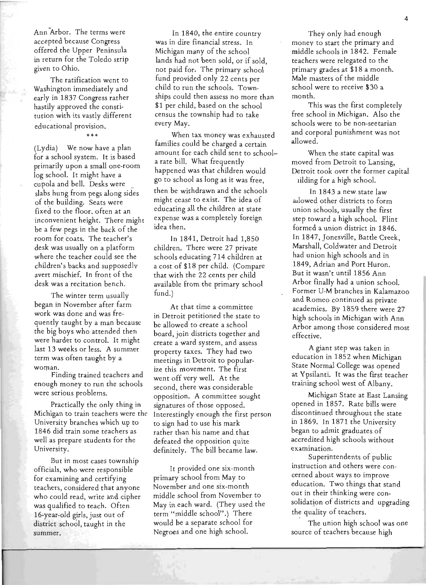Ann Arbor. The terms were accepted because Congress offered the Upper Peninsula in return for the Toledo strip given to Ohio.

The ratification went to Washington immediately and early in 1837 Congress rather hastily approved the constitution with its vastly different educational provision.

\*\*\*

 $(Lvdia)$  We now have a plan for a school system. It is based primarily upon a small one-room log school. It might have a cupola and bell. Desks were slabs hung from pegs along sides of the building. Seats were fixed to the floor. often at an inconvenient height. There might be a few pegs in the back of the room for coats. The teacher's desk was usually on a platform where the teacher could see the children's backs and supposedlv avert mischief. In front of the desk was a recitation bench.

The winter term usually began in November after farm work was done and was frequently taught by a man because the big boys who attended then were harder to control. It might last 13 weeks or less. A summer term was often taught by a woman.

Finding trained teachers and enough money to run the schools were serious problems.

Practically the only thing in Michigan to train teachers were the University branches which up to 1846 did train some teachers as well as prepare students for the University.

But in most cases township officials, who were responsible for examining and certifying teachers, considered that anyone who could read, write and cipher was qualified to teach. Often 16-year-old girls, just out of district school, taught in the summer.

In 1840, the entire country was in dire financial stress. In Michigan many of the school lands had not been sold, or if sold, not paid for. The primary school fund provided only 22 cents per child to run the schools. Townships could then assess no more than \$1 per child, based on the school census the township had to take every May.

When tax money was exhausted families could be charged a certain amount for each child sent to schoola rate bill. What frequently happened was that children would go to school as long as it was free, then be withdrawn and the schools might cease to exist. The idea of educating all the children at state expense was a completely foreign idea then.

In 1841, Detroit had 1,850 children. There were 27 private schools educating 714 children at a cost of \$18 per child. (Compare that with the 22 cents per child available from the primary school  $fund.$ )

At that time a committee in Detroit petitioned the state to be allowed to create a school board, join districts together and create a ward system, and assess property taxes. They had two meetings in Detroit to popularize this movement. The first went off very welL At the second, there was considerable opposition. A committee sought signatures of those opposed. Interestingly enough the first person to sign had to use his mark rather than his name and that defeated the opposition quite definitely. The bill became law.

It provided one six-month primary school from May to November and one six-month middle school from November to May in each ward. (They used the term "middle school".) There would be a separate school for Negroes and one high school.

They only had enough money to start the primary and middle schools in 1842. Female teachers were relegated to the primary grades at \$18 a month. Male masters of the middle school were to receive \$30 a month.

This was the first completely free school in Michigan. Also the schools were to be non-seetarian and corporal punishment was not allowed.

When the state capital was moved from Detroit to Lansing, Detroit took over the former capital iilding for a high school.

In 1843 a new state law allowed other districts to form union schools, usually the first step toward a high school. Flint formed a union district in 1846. In 1847, Jonesville, Battle Creek, Marshall, Coldwater and Detroit . had union high schools and in 1849, Adrian and Port Huron. But it wasn't until 1856 Ann Arbor finally had a union school. Former U-M branches in Kalamazoo and Romeo continued as private academies. By 1859 there were 27 high schools in Michigan with Ann Arbor among those considered most effective.

A giant step was taken in education in 1852 when Michigan State Normal College was opened at Ypsilanti. It was the first teacher training school west of Albany.

Michigan State at East Lansing opened in 1857. Rate bills were discontinued throughout the state in 1869. In 1871 the University began to admit graduates of accredited high schools without examination.

Superintendents of public instruction and others were concerned about ways to improve education. Two things that stand out in their thinking were consolidation of districts and upgrading the quality of teachers.

The union high school was one source of teachers because high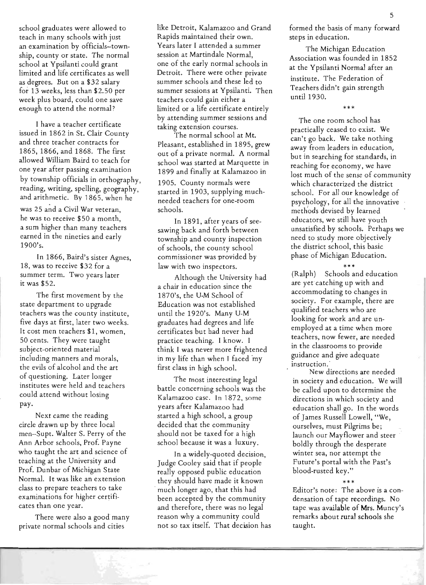school graduates were allowed to teach in many schools with just an examination by officials-township, county or state. The normal school at Ypsilanti could grant limited and life certificates as well as degrees. But on a \$32 salary for 13 weeks, less than \$2.50 per week plus board, could one save enough to attend the normal?

I have a teacher certificate issued in 1862 in St. Clair County and three teacher contracts for 1865, 1866, and 1868. The first allowed William Baird to teach for one year after passing examination by township officials in orthography, reading, writing, spelling, geography, and arithmetic. By 1865. when he

was 25 and a Civil War veteran, he was to receive \$50 a month, a sum higher than many teachers earned in the nineties and early 1900's.

In 1866, Baird's sister Agnes, 18, was to receive \$32 for a summer term. Two years later it was \$52.

The first movement by the state department to upgrade teachers was the county institute, five days at first, later two weeks. It cost men teachers \$1, women, 50 cents. They were taught subject-oriented material including manners and morals, the evils of alcohol and the art of questioning. Later longer institutes were held and teachers could attend without losing pay.

Next came the reading circle drawn up by three local men--Supt. Walter S. Perry of the Ann Arbor schools, Prof. Payne who taught the art and science of teaching at the University and Prof. Dunbar of Michigan State Normal. It was like an extension class to prepare teachers to take examinations for higher certificates than one year.

There were also a good many private normal schools and cities

like Detroit, Kalamazoo and Grand Rapids maintained their own. Years later I attended a summer session at Martindale Normal, one of the early normal schools in Detroit. There were other private summer schools and these led to summer sessions at Ypsilanti. Then teachers could gain either a limited or a life certificate entirely by attending summer sessions and taking extension courses.

The normal school at Mt. Pleasant, established in 1895, grew out of a private normal. A normal school was started at Marquette in 1899 and finally at Kalamazoo in 1905. County normals were started in 1903, supplying muchneeded teachers for one-room schools.

In 1891, after years of seesawing back and forth between township and county inspection of schools, the county school commissioner was-provided by law with two inspectors.

Although the University had a chair in education since the 1870's, the U-M School of Education was not established until the 1920's. Many U-M graduates had degrees and life certificates but had never had practice teaching. I know. I think I was never more frightened in my life than when I faced my first class in high school.

The most interesting legal battle concerning schools was the Kalamazoo case. In 1872, some years after Kalamazoo had started a high school, a group decided that the community should not be taxed for a high school because it was a luxury.

In a widely-quoted decision, Judge Cooley said that if people really opposed public education they should have made it known . much longer ago, that this had been accepted by the community and therefore, there was no legal reason why a community could not so tax itself. That decision has formed the basis of many forward steps in education.

The Michigan Education Association was founded in 1852 at the Ypsilanti Normal after an institute. The Federation of Teachers didn't gain strength until 1930.

\*\* \*

The one room school has practically ceased to exist. We can't go back. We take nothing away from leaders in education, but in searching for standards, in reaching for economy, we have lost much of the sense of community which characterized the district school. For all our knowledge of psychology, for all the innovative methods devised by learned educators, we still have youth unsatisfied by schools. Perhaps we need to study more objectively the district school, this basic phase of Michigan Education.

(Ralph) Schools and education are yet catching up with and accommodating to changes in society. For example, there are qualified teachers who are looking for work and are unemployed at a time when more teachers, now fewer, are needed in the classrooms to provide guidance and give adequate instruction.

.<br>مه مه مه

New directions are needed in society and education. We will be called upon to determine the directions in which society and education shall go. In the words of James Russell Lowell, "We, ourselves, must Pilgrims be; launch our Mayflower and steer . boldly through the desperate winter sea, nor attempt the Future's portal with the Past's blood-rusted key."

#### \*\*\*

Editor's note: The above is a condensation of tape recordings. No tape was available of Mrs. Muncy's remarks about rural schools she taught.